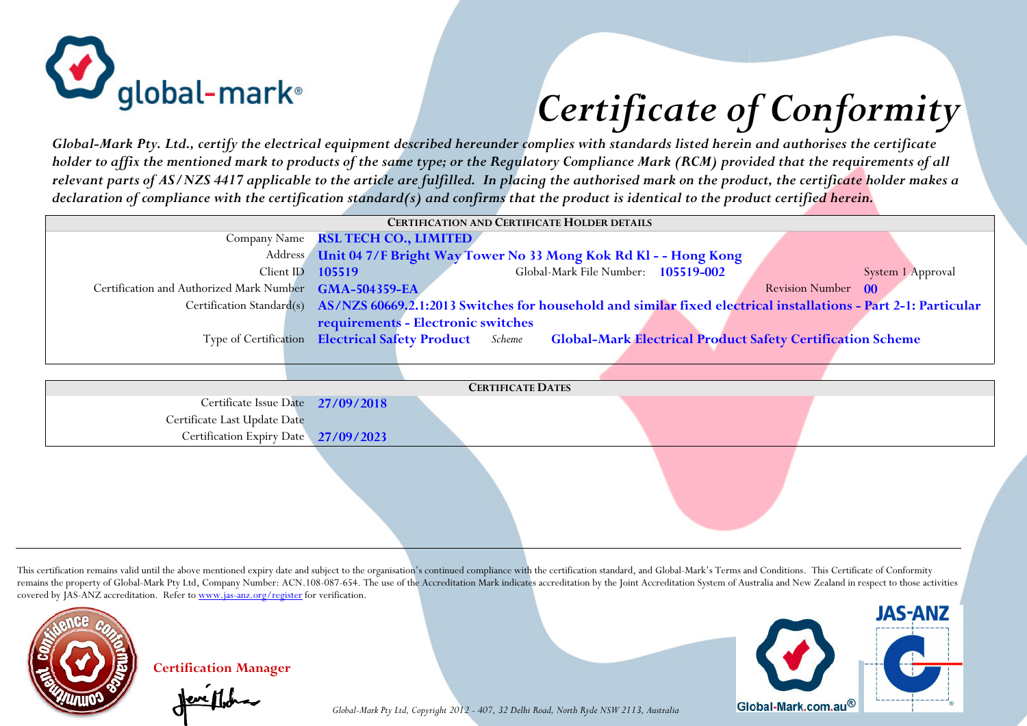

## *Certificate of Conformity*

*Global-Mark Pty. Ltd., certify the electrical equipment described hereunder complies with standards listed herein and authorises the certificate holder to affix the mentioned mark to products of the same type; or the Regulatory Compliance Mark (RCM) provided that the requirements of all relevant parts of AS/NZS 4417 applicable to the article are fulfilled. In placing the authorised mark on the product, the certificate holder makes a declaration of compliance with the certification standard(s) and confirms that the product is identical to the product certified herein.*

| <b>CERTIFICATION AND CERTIFICATE HOLDER DETAILS</b>    |                                                                                                                                          |                   |  |  |  |  |
|--------------------------------------------------------|------------------------------------------------------------------------------------------------------------------------------------------|-------------------|--|--|--|--|
| Company Name                                           | <b>RSL TECH CO., LIMITED</b>                                                                                                             |                   |  |  |  |  |
| Address                                                | Unit 04 7/F Bright Way Tower No 33 Mong Kok Rd Kl - - Hong Kong                                                                          |                   |  |  |  |  |
| Client ID                                              | Global-Mark File Number: 105519-002<br>105519                                                                                            | System 1 Approval |  |  |  |  |
| Certification and Authorized Mark Number GMA-504359-EA | Revision Number 00                                                                                                                       |                   |  |  |  |  |
|                                                        | Certification Standard(s) AS/NZS 60669.2.1:2013 Switches for household and similar fixed electrical installations - Part 2-1: Particular |                   |  |  |  |  |
|                                                        | requirements - Electronic switches                                                                                                       |                   |  |  |  |  |
|                                                        | Type of Certification Electrical Safety Product Scheme<br><b>Global-Mark Electrical Product Safety Certification Scheme</b>              |                   |  |  |  |  |
|                                                        |                                                                                                                                          |                   |  |  |  |  |
|                                                        |                                                                                                                                          |                   |  |  |  |  |
| <b>CERTIFICATE DATES</b>                               |                                                                                                                                          |                   |  |  |  |  |
| Certificate Issue Date 27/09/2018                      |                                                                                                                                          |                   |  |  |  |  |
| Certificate Last Update Date                           |                                                                                                                                          |                   |  |  |  |  |
| Certification Expiry Date 27/09/2023                   |                                                                                                                                          |                   |  |  |  |  |
|                                                        |                                                                                                                                          |                   |  |  |  |  |
|                                                        |                                                                                                                                          |                   |  |  |  |  |
|                                                        |                                                                                                                                          |                   |  |  |  |  |

This certification remains valid until the above mentioned expiry date and subject to the organisation's continued compliance with the certification standard, and Global-Mark's Terms and Conditions. This Certificate of Con remains the property of Global-Mark Pty Ltd, Company Number: ACN.108-087-654. The use of the Accreditation Mark indicates accreditation by the Joint Accreditation System of Australia and New Zealand in respect to those act covered by JAS-ANZ accreditation. Refer to www.jas-anz.org/register for verification.



**Certification Manager** 

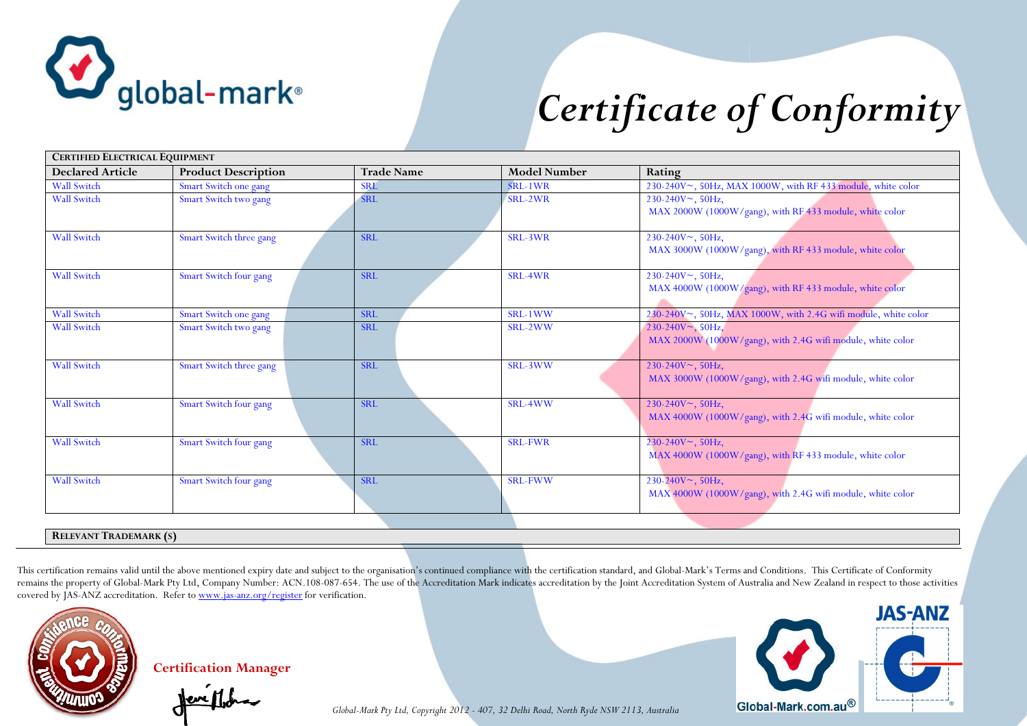

## *Certificate of Conformity*

| <b>CERTIFIED ELECTRICAL EQUIPMENT</b> |                            |                   |                     |                                                                                        |  |  |
|---------------------------------------|----------------------------|-------------------|---------------------|----------------------------------------------------------------------------------------|--|--|
| <b>Declared Article</b>               | <b>Product Description</b> | <b>Trade Name</b> | <b>Model Number</b> | Rating                                                                                 |  |  |
| <b>Wall Switch</b>                    | Smart Switch one gang      | <b>SRL</b>        | SRL-1WR             | 230-240V~, 50Hz, MAX 1000W, with RF 433 module, white color                            |  |  |
| <b>Wall Switch</b>                    | Smart Switch two gang      | <b>SRL</b>        | SRL-2WR             | $230-240V$ , 50Hz,<br>MAX 2000W (1000W/gang), with RF 433 module, white color          |  |  |
| <b>Wall Switch</b>                    | Smart Switch three gang    | <b>SRL</b>        | SRL-3WR             | $230-240V$ , $50Hz$ ,<br>MAX 3000W (1000W/gang), with RF 433 module, white color       |  |  |
| <b>Wall Switch</b>                    | Smart Switch four gang     | <b>SRL</b>        | SRL-4WR             | 230-240V~, 50Hz,<br>MAX 4000W (1000W/gang), with RF 433 module, white color            |  |  |
| <b>Wall Switch</b>                    | Smart Switch one gang      | <b>SRL</b>        | SRL-1WW             | 230-240V~, 50Hz, MAX 1000W, with 2.4G wifi module, white color                         |  |  |
| <b>Wall Switch</b>                    | Smart Switch two gang      | <b>SRL</b>        | SRL-2WW             | $230-240V^{\sim}, 50Hz,$<br>MAX 2000W (1000W/gang), with 2.4G wifi module, white color |  |  |
| <b>Wall Switch</b>                    | Smart Switch three gang    | <b>SRL</b>        | SRL-3WW             | $230-240V$ , 50Hz,<br>MAX 3000W (1000W/gang), with 2.4G wifi module, white color       |  |  |
| <b>Wall Switch</b>                    | Smart Switch four gang     | <b>SRL</b>        | SRL-4WW             | $230-240V$ , 50Hz,<br>MAX 4000W (1000W/gang), with 2.4G wifi module, white color       |  |  |
| <b>Wall Switch</b>                    | Smart Switch four gang     | <b>SRL</b>        | <b>SRL-FWR</b>      | $230-240V$ , $50Hz$ ,<br>MAX 4000W (1000W/gang), with RF 433 module, white color       |  |  |
| <b>Wall Switch</b>                    | Smart Switch four gang     | <b>SRL</b>        | <b>SRL-FWW</b>      | $230-240V$ , $50Hz$ ,<br>MAX 4000W (1000W/gang), with 2.4G wifi module, white color    |  |  |
|                                       |                            |                   |                     |                                                                                        |  |  |
| <b>RELEVANT TRADEMARK (S)</b>         |                            |                   |                     |                                                                                        |  |  |

This certification remains valid until the above mentioned expiry date and subject to the organisation's continued compliance with the certification standard, and Global-Mark's Terms and Conditions. This Certificate of Con remains the property of Global-Mark Pty Ltd, Company Number: ACN.108-087-654. The use of the Accreditation Mark indicates accreditation by the Joint Accreditation System of Australia and New Zealand in respect to those act covered by JAS-ANZ accreditation. Refer to www.jas-anz.org/register for verification.



**Certification Manager** 



*Global-Mark Pty Ltd, Copyright 2012 - 407, 32 Delhi Road, North Ryde NSW 2113, Australia*